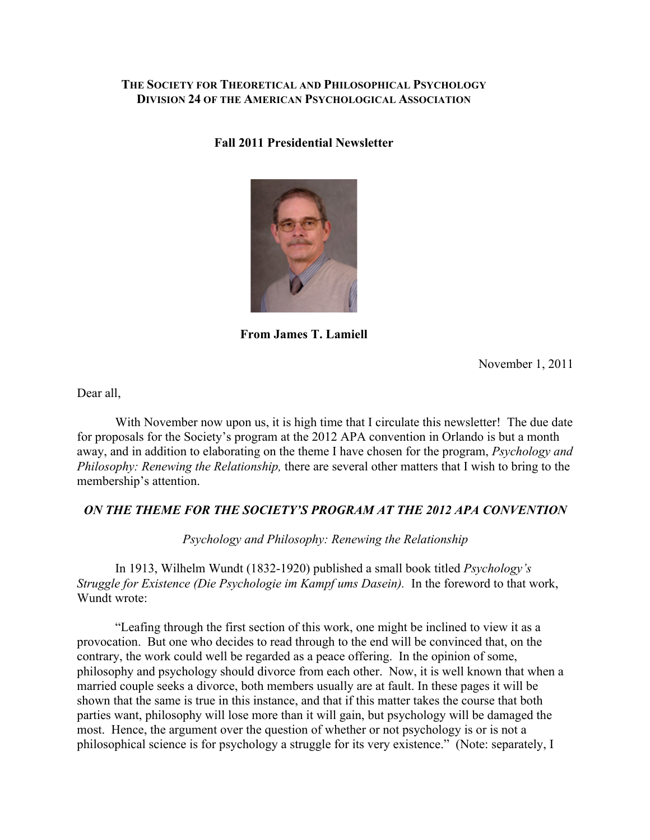### **THE SOCIETY FOR THEORETICAL AND PHILOSOPHICAL PSYCHOLOGY DIVISION 24 OF THE AMERICAN PSYCHOLOGICAL ASSOCIATION**

#### **Fall 2011 Presidential Newsletter**



**From James T. Lamiell**

November 1, 2011

Dear all,

With November now upon us, it is high time that I circulate this newsletter! The due date for proposals for the Society's program at the 2012 APA convention in Orlando is but a month away, and in addition to elaborating on the theme I have chosen for the program, *Psychology and Philosophy: Renewing the Relationship,* there are several other matters that I wish to bring to the membership's attention.

# *ON THE THEME FOR THE SOCIETY'S PROGRAM AT THE 2012 APA CONVENTION*

*Psychology and Philosophy: Renewing the Relationship*

In 1913, Wilhelm Wundt (1832-1920) published a small book titled *Psychology's Struggle for Existence (Die Psychologie im Kampf ums Dasein).* In the foreword to that work, Wundt wrote:

"Leafing through the first section of this work, one might be inclined to view it as a provocation. But one who decides to read through to the end will be convinced that, on the contrary, the work could well be regarded as a peace offering. In the opinion of some, philosophy and psychology should divorce from each other. Now, it is well known that when a married couple seeks a divorce, both members usually are at fault. In these pages it will be shown that the same is true in this instance, and that if this matter takes the course that both parties want, philosophy will lose more than it will gain, but psychology will be damaged the most. Hence, the argument over the question of whether or not psychology is or is not a philosophical science is for psychology a struggle for its very existence." (Note: separately, I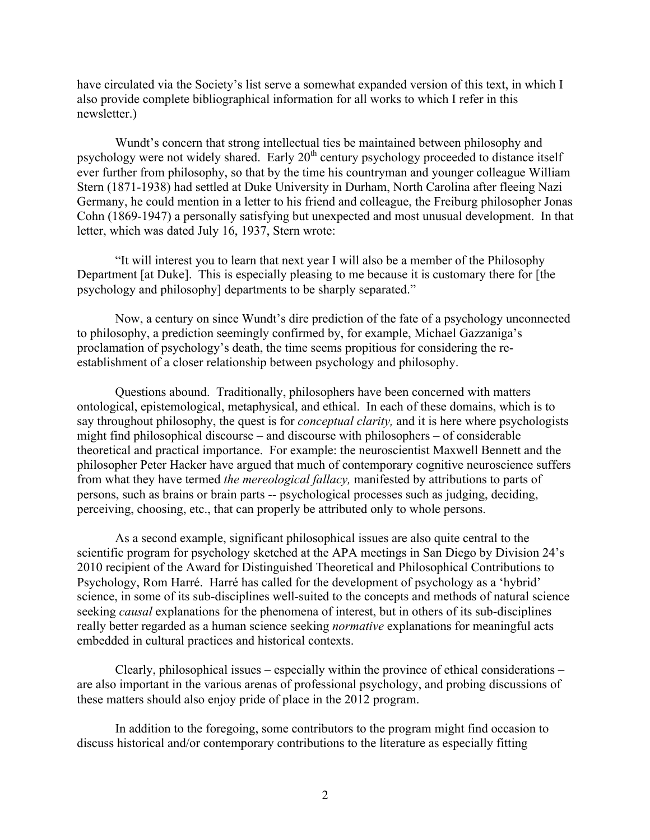have circulated via the Society's list serve a somewhat expanded version of this text, in which I also provide complete bibliographical information for all works to which I refer in this newsletter.)

Wundt's concern that strong intellectual ties be maintained between philosophy and psychology were not widely shared. Early 20<sup>th</sup> century psychology proceeded to distance itself ever further from philosophy, so that by the time his countryman and younger colleague William Stern (1871-1938) had settled at Duke University in Durham, North Carolina after fleeing Nazi Germany, he could mention in a letter to his friend and colleague, the Freiburg philosopher Jonas Cohn (1869-1947) a personally satisfying but unexpected and most unusual development. In that letter, which was dated July 16, 1937, Stern wrote:

"It will interest you to learn that next year I will also be a member of the Philosophy Department [at Duke]. This is especially pleasing to me because it is customary there for [the psychology and philosophy] departments to be sharply separated."

Now, a century on since Wundt's dire prediction of the fate of a psychology unconnected to philosophy, a prediction seemingly confirmed by, for example, Michael Gazzaniga's proclamation of psychology's death, the time seems propitious for considering the reestablishment of a closer relationship between psychology and philosophy.

Questions abound. Traditionally, philosophers have been concerned with matters ontological, epistemological, metaphysical, and ethical. In each of these domains, which is to say throughout philosophy, the quest is for *conceptual clarity,* and it is here where psychologists might find philosophical discourse – and discourse with philosophers – of considerable theoretical and practical importance. For example: the neuroscientist Maxwell Bennett and the philosopher Peter Hacker have argued that much of contemporary cognitive neuroscience suffers from what they have termed *the mereological fallacy,* manifested by attributions to parts of persons, such as brains or brain parts -- psychological processes such as judging, deciding, perceiving, choosing, etc., that can properly be attributed only to whole persons.

As a second example, significant philosophical issues are also quite central to the scientific program for psychology sketched at the APA meetings in San Diego by Division 24's 2010 recipient of the Award for Distinguished Theoretical and Philosophical Contributions to Psychology, Rom Harré. Harré has called for the development of psychology as a 'hybrid' science, in some of its sub-disciplines well-suited to the concepts and methods of natural science seeking *causal* explanations for the phenomena of interest, but in others of its sub-disciplines really better regarded as a human science seeking *normative* explanations for meaningful acts embedded in cultural practices and historical contexts.

Clearly, philosophical issues – especially within the province of ethical considerations – are also important in the various arenas of professional psychology, and probing discussions of these matters should also enjoy pride of place in the 2012 program.

In addition to the foregoing, some contributors to the program might find occasion to discuss historical and/or contemporary contributions to the literature as especially fitting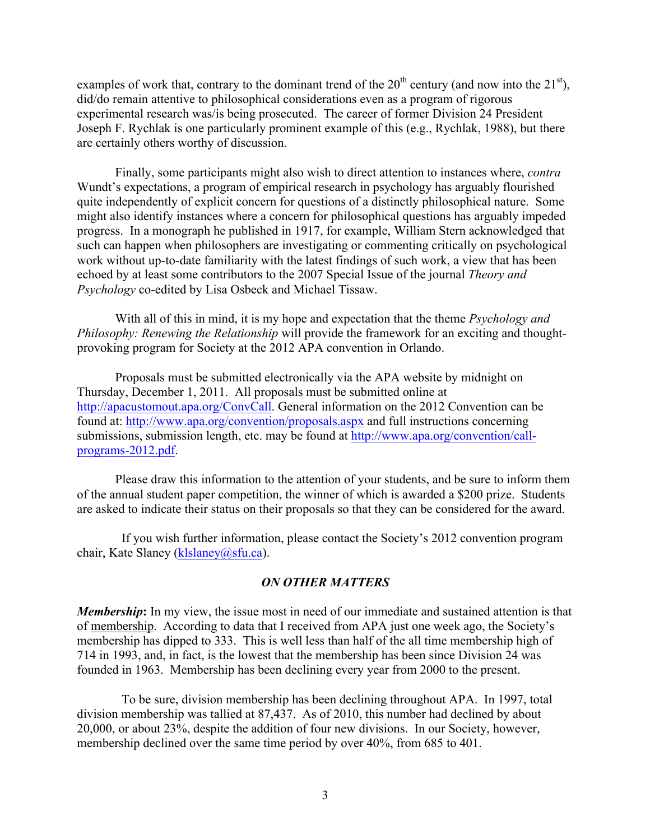examples of work that, contrary to the dominant trend of the  $20<sup>th</sup>$  century (and now into the  $21<sup>st</sup>$ ), did/do remain attentive to philosophical considerations even as a program of rigorous experimental research was/is being prosecuted. The career of former Division 24 President Joseph F. Rychlak is one particularly prominent example of this (e.g., Rychlak, 1988), but there are certainly others worthy of discussion.

Finally, some participants might also wish to direct attention to instances where, *contra*  Wundt's expectations, a program of empirical research in psychology has arguably flourished quite independently of explicit concern for questions of a distinctly philosophical nature. Some might also identify instances where a concern for philosophical questions has arguably impeded progress. In a monograph he published in 1917, for example, William Stern acknowledged that such can happen when philosophers are investigating or commenting critically on psychological work without up-to-date familiarity with the latest findings of such work, a view that has been echoed by at least some contributors to the 2007 Special Issue of the journal *Theory and Psychology* co-edited by Lisa Osbeck and Michael Tissaw.

With all of this in mind, it is my hope and expectation that the theme *Psychology and Philosophy: Renewing the Relationship* will provide the framework for an exciting and thoughtprovoking program for Society at the 2012 APA convention in Orlando.

Proposals must be submitted electronically via the APA website by midnight on Thursday, December 1, 2011. All proposals must be submitted online at http://apacustomout.apa.org/ConvCall. General information on the 2012 Convention can be found at: http://www.apa.org/convention/proposals.aspx and full instructions concerning submissions, submission length, etc. may be found at http://www.apa.org/convention/callprograms-2012.pdf.

Please draw this information to the attention of your students, and be sure to inform them of the annual student paper competition, the winner of which is awarded a \$200 prize. Students are asked to indicate their status on their proposals so that they can be considered for the award.

 If you wish further information, please contact the Society's 2012 convention program chair, Kate Slaney (klslaney @sfu.ca).

#### *ON OTHER MATTERS*

*Membership*: In my view, the issue most in need of our immediate and sustained attention is that of membership. According to data that I received from APA just one week ago, the Society's membership has dipped to 333. This is well less than half of the all time membership high of 714 in 1993, and, in fact, is the lowest that the membership has been since Division 24 was founded in 1963. Membership has been declining every year from 2000 to the present.

 To be sure, division membership has been declining throughout APA. In 1997, total division membership was tallied at 87,437. As of 2010, this number had declined by about 20,000, or about 23%, despite the addition of four new divisions. In our Society, however, membership declined over the same time period by over 40%, from 685 to 401.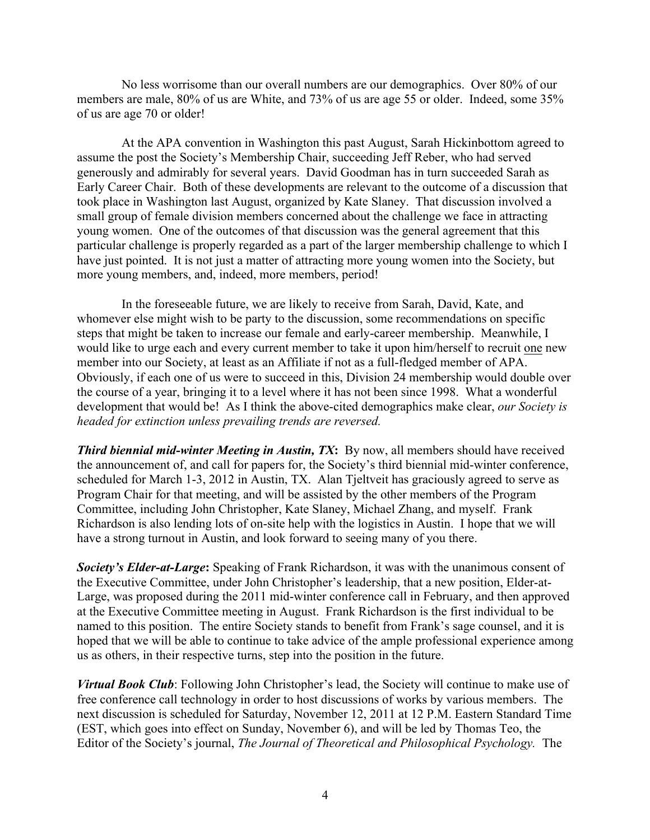No less worrisome than our overall numbers are our demographics. Over 80% of our members are male, 80% of us are White, and 73% of us are age 55 or older. Indeed, some 35% of us are age 70 or older!

 At the APA convention in Washington this past August, Sarah Hickinbottom agreed to assume the post the Society's Membership Chair, succeeding Jeff Reber, who had served generously and admirably for several years. David Goodman has in turn succeeded Sarah as Early Career Chair. Both of these developments are relevant to the outcome of a discussion that took place in Washington last August, organized by Kate Slaney. That discussion involved a small group of female division members concerned about the challenge we face in attracting young women. One of the outcomes of that discussion was the general agreement that this particular challenge is properly regarded as a part of the larger membership challenge to which I have just pointed. It is not just a matter of attracting more young women into the Society, but more young members, and, indeed, more members, period!

 In the foreseeable future, we are likely to receive from Sarah, David, Kate, and whomever else might wish to be party to the discussion, some recommendations on specific steps that might be taken to increase our female and early-career membership. Meanwhile, I would like to urge each and every current member to take it upon him/herself to recruit one new member into our Society, at least as an Affiliate if not as a full-fledged member of APA. Obviously, if each one of us were to succeed in this, Division 24 membership would double over the course of a year, bringing it to a level where it has not been since 1998. What a wonderful development that would be! As I think the above-cited demographics make clear, *our Society is headed for extinction unless prevailing trends are reversed.*

**Third biennial mid-winter Meeting in Austin, TX:** By now, all members should have received the announcement of, and call for papers for, the Society's third biennial mid-winter conference, scheduled for March 1-3, 2012 in Austin, TX. Alan Tjeltveit has graciously agreed to serve as Program Chair for that meeting, and will be assisted by the other members of the Program Committee, including John Christopher, Kate Slaney, Michael Zhang, and myself. Frank Richardson is also lending lots of on-site help with the logistics in Austin. I hope that we will have a strong turnout in Austin, and look forward to seeing many of you there.

*Society's Elder-at-Large***:** Speaking of Frank Richardson, it was with the unanimous consent of the Executive Committee, under John Christopher's leadership, that a new position, Elder-at-Large, was proposed during the 2011 mid-winter conference call in February, and then approved at the Executive Committee meeting in August. Frank Richardson is the first individual to be named to this position. The entire Society stands to benefit from Frank's sage counsel, and it is hoped that we will be able to continue to take advice of the ample professional experience among us as others, in their respective turns, step into the position in the future.

*Virtual Book Club*: Following John Christopher's lead, the Society will continue to make use of free conference call technology in order to host discussions of works by various members. The next discussion is scheduled for Saturday, November 12, 2011 at 12 P.M. Eastern Standard Time (EST, which goes into effect on Sunday, November 6), and will be led by Thomas Teo, the Editor of the Society's journal, *The Journal of Theoretical and Philosophical Psychology.* The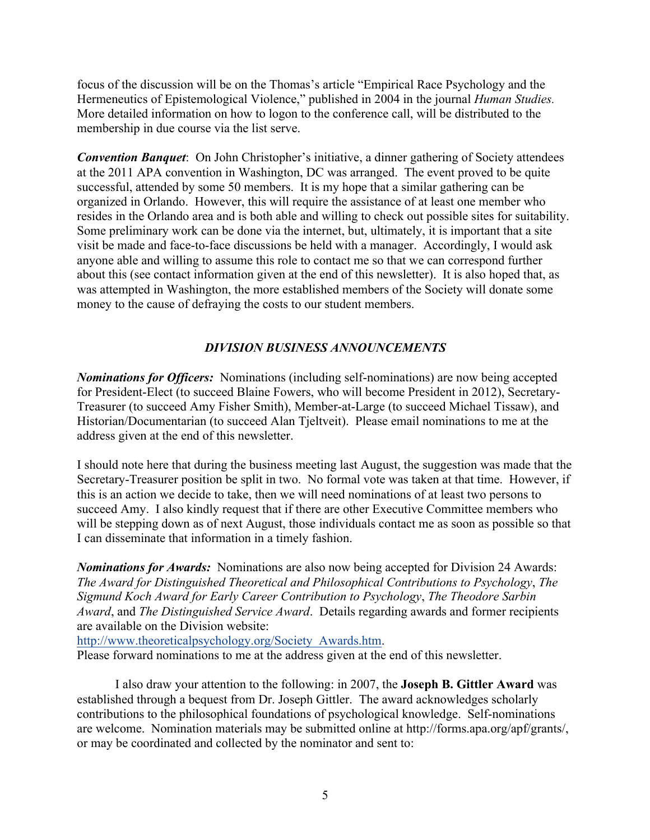focus of the discussion will be on the Thomas's article "Empirical Race Psychology and the Hermeneutics of Epistemological Violence," published in 2004 in the journal *Human Studies.* More detailed information on how to logon to the conference call, will be distributed to the membership in due course via the list serve.

*Convention Banquet*: On John Christopher's initiative, a dinner gathering of Society attendees at the 2011 APA convention in Washington, DC was arranged. The event proved to be quite successful, attended by some 50 members. It is my hope that a similar gathering can be organized in Orlando. However, this will require the assistance of at least one member who resides in the Orlando area and is both able and willing to check out possible sites for suitability. Some preliminary work can be done via the internet, but, ultimately, it is important that a site visit be made and face-to-face discussions be held with a manager. Accordingly, I would ask anyone able and willing to assume this role to contact me so that we can correspond further about this (see contact information given at the end of this newsletter). It is also hoped that, as was attempted in Washington, the more established members of the Society will donate some money to the cause of defraying the costs to our student members.

# *DIVISION BUSINESS ANNOUNCEMENTS*

*Nominations for Officers:* Nominations (including self-nominations) are now being accepted for President-Elect (to succeed Blaine Fowers, who will become President in 2012), Secretary-Treasurer (to succeed Amy Fisher Smith), Member-at-Large (to succeed Michael Tissaw), and Historian/Documentarian (to succeed Alan Tjeltveit). Please email nominations to me at the address given at the end of this newsletter.

I should note here that during the business meeting last August, the suggestion was made that the Secretary-Treasurer position be split in two. No formal vote was taken at that time. However, if this is an action we decide to take, then we will need nominations of at least two persons to succeed Amy. I also kindly request that if there are other Executive Committee members who will be stepping down as of next August, those individuals contact me as soon as possible so that I can disseminate that information in a timely fashion.

*Nominations for Awards:* Nominations are also now being accepted for Division 24 Awards: *The Award for Distinguished Theoretical and Philosophical Contributions to Psychology*, *The Sigmund Koch Award for Early Career Contribution to Psychology*, *The Theodore Sarbin Award*, and *The Distinguished Service Award*. Details regarding awards and former recipients are available on the Division website:

http://www.theoreticalpsychology.org/Society\_Awards.htm.

Please forward nominations to me at the address given at the end of this newsletter.

I also draw your attention to the following: in 2007, the **Joseph B. Gittler Award** was established through a bequest from Dr. Joseph Gittler. The award acknowledges scholarly contributions to the philosophical foundations of psychological knowledge. Self-nominations are welcome. Nomination materials may be submitted online at http://forms.apa.org/apf/grants/, or may be coordinated and collected by the nominator and sent to: